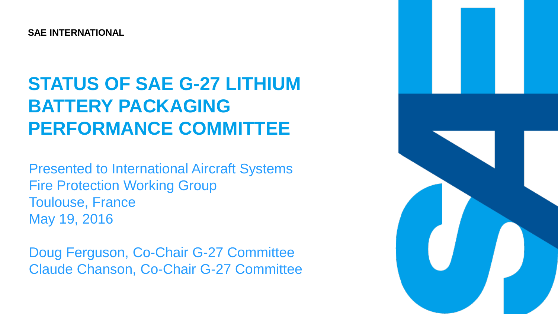**SAE INTERNATIONAL**

### **STATUS OF SAE G-27 LITHIUM BATTERY PACKAGING PERFORMANCE COMMITTEE**

DRAFT Presented to International Aircraft Systems Fire Protection Working Group Toulouse, France May 19, 2016

Doug Ferguson, Co-Chair G-27 Committee Claude Chanson, Co-Chair G-27 Committee

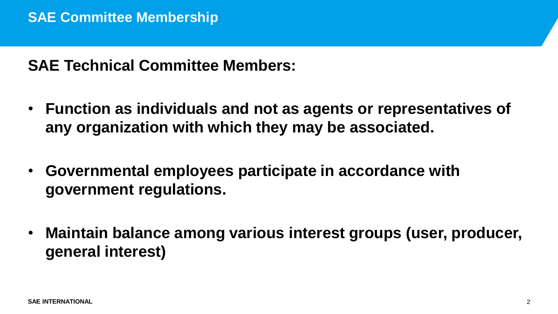**SAE Technical Committee Members:**

- **Function as individuals and not as agents or representatives of any organization with which they may be associated.**
- **Governmental employees participate in accordance with government regulations.**
- **Maintain balance among various interest groups (user, producer, general interest)**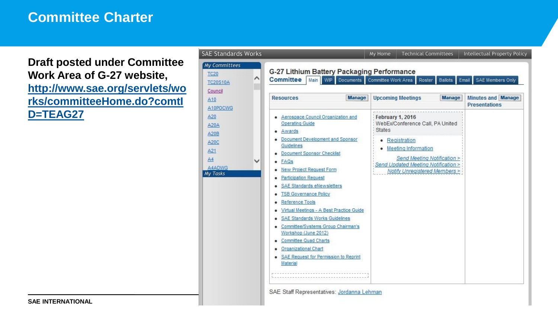#### **Committee Charter**

**Draft posted under Committee Work Area of G-27 website, [http://www.sae.org/servlets/wo](http://www.sae.org/servlets/works/committeeHome.do?comtID=TEAG27) [rks/committeeHome.do?comtI](http://www.sae.org/servlets/works/committeeHome.do?comtID=TEAG27) [D=TEAG27](http://www.sae.org/servlets/works/committeeHome.do?comtID=TEAG27)**

| <b>AE Standards Works</b>                                                                |                                                                                                                                                                                                                                                                                                                                                                                                                                                                                                                                                                             | My Home                                       | <b>Technical Committees</b>                                                                                                                                                      | <b>Intellectual Property Policy</b> |
|------------------------------------------------------------------------------------------|-----------------------------------------------------------------------------------------------------------------------------------------------------------------------------------------------------------------------------------------------------------------------------------------------------------------------------------------------------------------------------------------------------------------------------------------------------------------------------------------------------------------------------------------------------------------------------|-----------------------------------------------|----------------------------------------------------------------------------------------------------------------------------------------------------------------------------------|-------------------------------------|
| My Committees<br><b>TC20</b><br>∧<br><b>TC20S10A</b><br>Council<br>A10                   | G-27 Lithium Battery Packaging Performance<br><b>Committee</b><br>WIP Documents Committee Work Area<br>Main<br>SAE Members Only<br>Ballots Email<br>Roster<br><b>Manage</b><br>Manage<br><b>Minutes and Manage</b><br><b>Upcoming Meetings</b><br><b>Resources</b>                                                                                                                                                                                                                                                                                                          |                                               |                                                                                                                                                                                  |                                     |
| A10POCWG<br>A20<br><b>A20A</b><br>A20B<br>A20C<br>A21<br>A4<br>A4ADWG<br><b>Ay Tasks</b> | Aerospace Council Organization and<br><b>Operating Guide</b><br>Awards<br>Document Development and Sponsor<br>Guidelines<br><b>Document Sponsor Checklist</b><br>FAQs<br>New Project Request Form<br><b>Participation Request</b><br>SAE Standards eNewsletters<br><b>TSB Governance Policy</b><br>Reference Tools<br>Virtual Meetings - A Best Practice Guide<br>SAE Standards Works Guidelines<br>Committee/Systems Group Chairman's<br>Workshop (June 2012)<br><b>Committee Quad Charts</b><br>Organizational Chart<br>SAE Request for Permission to Reprint<br>Material | <b>February 1, 2016</b><br><b>States</b><br>۰ | WebEx/Conference Call, PA United<br>Registration<br>• Meeting Information<br>Send Meeting Notification ><br>Send Updated Meeting Notification ><br>Notify Unregistered Members > | <b>Presentations</b>                |

3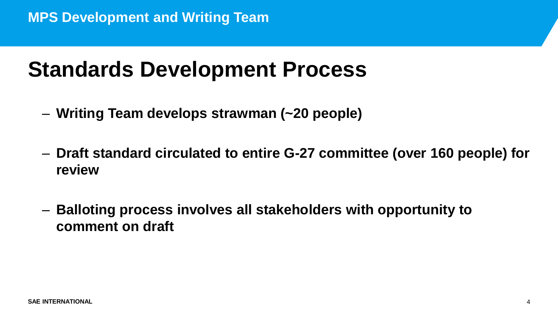## **Standards Development Process**

- **Writing Team develops strawman (~20 people)**
- **Draft standard circulated to entire G-27 committee (over 160 people) for review**
- **Balloting process involves all stakeholders with opportunity to comment on draft**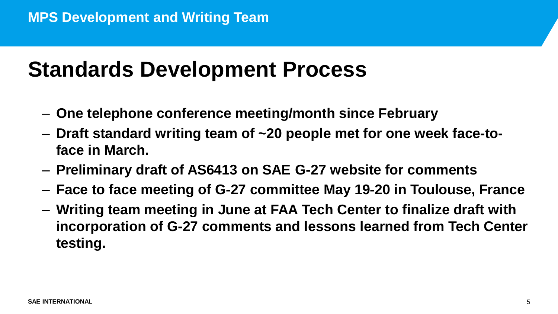## **Standards Development Process**

- **One telephone conference meeting/month since February**
- **Draft standard writing team of ~20 people met for one week face-toface in March.**
- **Preliminary draft of AS6413 on SAE G-27 website for comments**
- **Face to face meeting of G-27 committee May 19-20 in Toulouse, France**
- **Writing team meeting in June at FAA Tech Center to finalize draft with incorporation of G-27 comments and lessons learned from Tech Center testing.**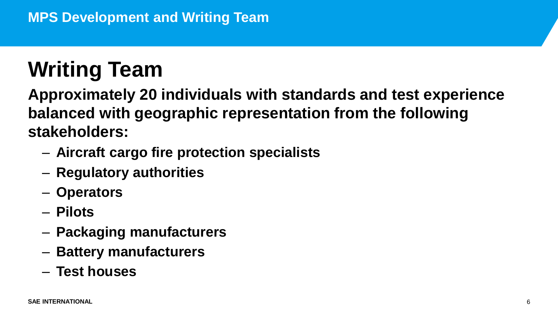## **Writing Team**

**Approximately 20 individuals with standards and test experience balanced with geographic representation from the following stakeholders:**

- **Aircraft cargo fire protection specialists**
- **Regulatory authorities**
- **Operators**
- **Pilots**
- **Packaging manufacturers**
- **Battery manufacturers**
- **Test houses**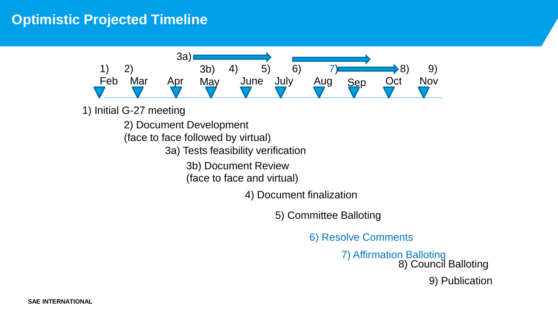#### **Optimistic Projected Timeline**



1) Initial G-27 meeting

2) Document Development

(face to face followed by virtual)

3a) Tests feasibility verification

3b) Document Review

(face to face and virtual)

4) Document finalization

5) Committee Balloting

6) Resolve Comments

7) Affirmation Balloting 8) Council Balloting 9) Publication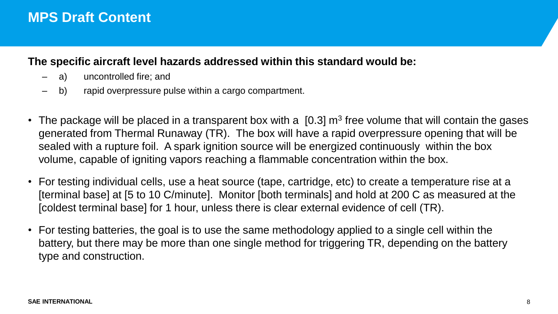### **MPS Draft Content**

#### **The specific aircraft level hazards addressed within this standard would be:**

- a) uncontrolled fire; and
- b) rapid overpressure pulse within a cargo compartment.
- The package will be placed in a transparent box with a  $[0.3]$  m<sup>3</sup> free volume that will contain the gases generated from Thermal Runaway (TR). The box will have a rapid overpressure opening that will be sealed with a rupture foil. A spark ignition source will be energized continuously within the box volume, capable of igniting vapors reaching a flammable concentration within the box.
- For testing individual cells, use a heat source (tape, cartridge, etc) to create a temperature rise at a [terminal base] at [5 to 10 C/minute]. Monitor [both terminals] and hold at 200 C as measured at the [coldest terminal base] for 1 hour, unless there is clear external evidence of cell (TR).
- For testing batteries, the goal is to use the same methodology applied to a single cell within the battery, but there may be more than one single method for triggering TR, depending on the battery type and construction.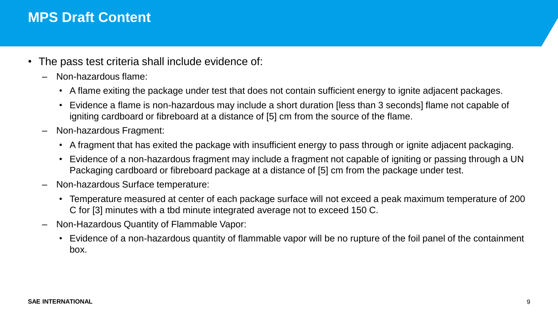### **MPS Draft Content**

- The pass test criteria shall include evidence of:
	- Non-hazardous flame:
		- A flame exiting the package under test that does not contain sufficient energy to ignite adjacent packages.
		- Evidence a flame is non-hazardous may include a short duration [less than 3 seconds] flame not capable of igniting cardboard or fibreboard at a distance of [5] cm from the source of the flame.
	- Non-hazardous Fragment:
		- A fragment that has exited the package with insufficient energy to pass through or ignite adjacent packaging.
		- Evidence of a non-hazardous fragment may include a fragment not capable of igniting or passing through a UN Packaging cardboard or fibreboard package at a distance of [5] cm from the package under test.
	- Non-hazardous Surface temperature:
		- Temperature measured at center of each package surface will not exceed a peak maximum temperature of 200 C for [3] minutes with a tbd minute integrated average not to exceed 150 C.
	- Non-Hazardous Quantity of Flammable Vapor:
		- Evidence of a non-hazardous quantity of flammable vapor will be no rupture of the foil panel of the containment box.